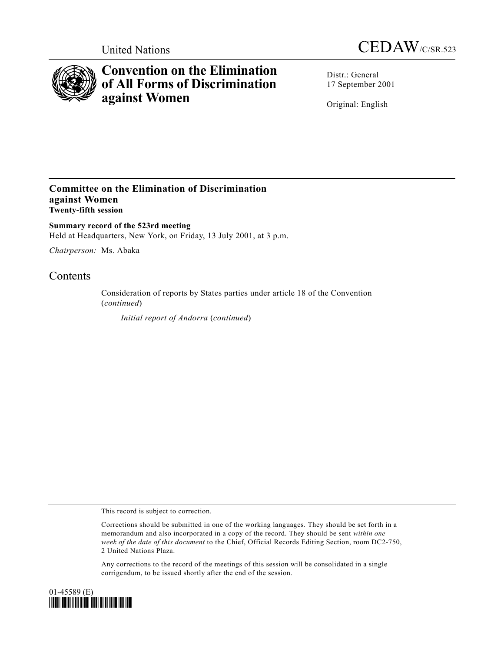



## **Convention on the Elimination of All Forms of Discrimination against Women**

Distr.: General 17 September 2001

Original: English

## **Committee on the Elimination of Discrimination against Women Twenty-fifth session**

**Summary record of the 523rd meeting** Held at Headquarters, New York, on Friday, 13 July 2001, at 3 p.m.

*Chairperson:* Ms. Abaka

## **Contents**

Consideration of reports by States parties under article 18 of the Convention (*continued*)

*Initial report of Andorra* (*continued*)

This record is subject to correction.

Corrections should be submitted in one of the working languages. They should be set forth in a memorandum and also incorporated in a copy of the record. They should be sent *within one week of the date of this document* to the Chief, Official Records Editing Section, room DC2-750, 2 United Nations Plaza.

Any corrections to the record of the meetings of this session will be consolidated in a single corrigendum, to be issued shortly after the end of the session.

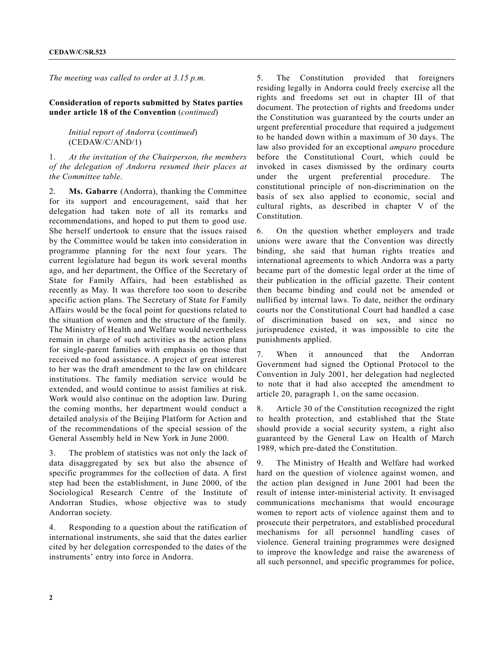*The meeting was called to order at 3.15 p.m.*

## **Consideration of reports submitted by States parties under article 18 of the Convention** (*continued*)

*Initial report of Andorra* (*continued*) (CEDAW/C/AND/1)

1. *At the invitation of the Chairperson, the members of the delegation of Andorra resumed their places at the Committee table*.

2. **Ms. Gabarre** (Andorra), thanking the Committee for its support and encouragement, said that her delegation had taken note of all its remarks and recommendations, and hoped to put them to good use. She herself undertook to ensure that the issues raised by the Committee would be taken into consideration in programme planning for the next four years. The current legislature had begun its work several months ago, and her department, the Office of the Secretary of State for Family Affairs, had been established as recently as May. It was therefore too soon to describe specific action plans. The Secretary of State for Family Affairs would be the focal point for questions related to the situation of women and the structure of the family. The Ministry of Health and Welfare would nevertheless remain in charge of such activities as the action plans for single-parent families with emphasis on those that received no food assistance. A project of great interest to her was the draft amendment to the law on childcare institutions. The family mediation service would be extended, and would continue to assist families at risk. Work would also continue on the adoption law. During the coming months, her department would conduct a detailed analysis of the Beijing Platform for Action and of the recommendations of the special session of the General Assembly held in New York in June 2000.

3. The problem of statistics was not only the lack of data disaggregated by sex but also the absence of specific programmes for the collection of data. A first step had been the establishment, in June 2000, of the Sociological Research Centre of the Institute of Andorran Studies, whose objective was to study Andorran society.

4. Responding to a question about the ratification of international instruments, she said that the dates earlier cited by her delegation corresponded to the dates of the instruments' entry into force in Andorra.

5. The Constitution provided that foreigners residing legally in Andorra could freely exercise all the rights and freedoms set out in chapter III of that document. The protection of rights and freedoms under the Constitution was guaranteed by the courts under an urgent preferential procedure that required a judgement to be handed down within a maximum of 30 days. The law also provided for an exceptional *amparo* procedure before the Constitutional Court, which could be invoked in cases dismissed by the ordinary courts under the urgent preferential procedure. The constitutional principle of non-discrimination on the basis of sex also applied to economic, social and cultural rights, as described in chapter V of the Constitution.

6. On the question whether employers and trade unions were aware that the Convention was directly binding, she said that human rights treaties and international agreements to which Andorra was a party became part of the domestic legal order at the time of their publication in the official gazette. Their content then became binding and could not be amended or nullified by internal laws. To date, neither the ordinary courts nor the Constitutional Court had handled a case of discrimination based on sex, and since no jurisprudence existed, it was impossible to cite the punishments applied.

7. When it announced that the Andorran Government had signed the Optional Protocol to the Convention in July 2001, her delegation had neglected to note that it had also accepted the amendment to article 20, paragraph 1, on the same occasion.

8. Article 30 of the Constitution recognized the right to health protection, and established that the State should provide a social security system, a right also guaranteed by the General Law on Health of March 1989, which pre-dated the Constitution.

9. The Ministry of Health and Welfare had worked hard on the question of violence against women, and the action plan designed in June 2001 had been the result of intense inter-ministerial activity. It envisaged communications mechanisms that would encourage women to report acts of violence against them and to prosecute their perpetrators, and established procedural mechanisms for all personnel handling cases of violence. General training programmes were designed to improve the knowledge and raise the awareness of all such personnel, and specific programmes for police,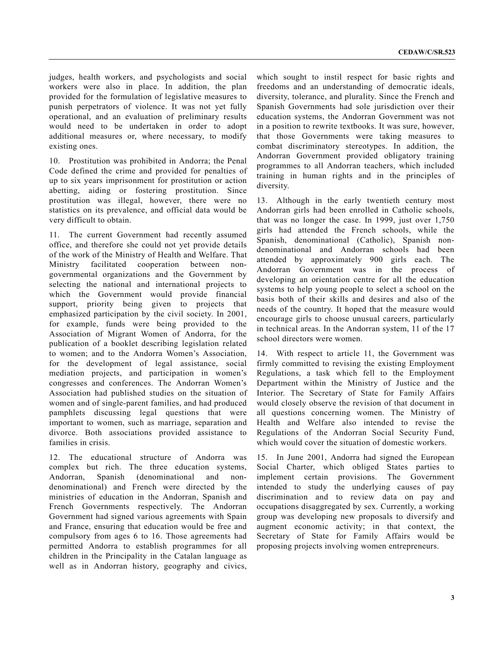judges, health workers, and psychologists and social workers were also in place. In addition, the plan provided for the formulation of legislative measures to punish perpetrators of violence. It was not yet fully operational, and an evaluation of preliminary results would need to be undertaken in order to adopt additional measures or, where necessary, to modify existing ones.

10. Prostitution was prohibited in Andorra; the Penal Code defined the crime and provided for penalties of up to six years imprisonment for prostitution or action abetting, aiding or fostering prostitution. Since prostitution was illegal, however, there were no statistics on its prevalence, and official data would be very difficult to obtain.

11. The current Government had recently assumed office, and therefore she could not yet provide details of the work of the Ministry of Health and Welfare. That Ministry facilitated cooperation between nongovernmental organizations and the Government by selecting the national and international projects to which the Government would provide financial support, priority being given to projects that emphasized participation by the civil society. In 2001, for example, funds were being provided to the Association of Migrant Women of Andorra, for the publication of a booklet describing legislation related to women; and to the Andorra Women's Association, for the development of legal assistance, social mediation projects, and participation in women's congresses and conferences. The Andorran Women's Association had published studies on the situation of women and of single-parent families, and had produced pamphlets discussing legal questions that were important to women, such as marriage, separation and divorce. Both associations provided assistance to families in crisis.

12. The educational structure of Andorra was complex but rich. The three education systems, Andorran, Spanish (denominational and nondenominational) and French were directed by the ministries of education in the Andorran, Spanish and French Governments respectively. The Andorran Government had signed various agreements with Spain and France, ensuring that education would be free and compulsory from ages 6 to 16. Those agreements had permitted Andorra to establish programmes for all children in the Principality in the Catalan language as well as in Andorran history, geography and civics, which sought to instil respect for basic rights and freedoms and an understanding of democratic ideals, diversity, tolerance, and plurality. Since the French and Spanish Governments had sole jurisdiction over their education systems, the Andorran Government was not in a position to rewrite textbooks. It was sure, however, that those Governments were taking measures to combat discriminatory stereotypes. In addition, the Andorran Government provided obligatory training programmes to all Andorran teachers, which included training in human rights and in the principles of diversity.

13. Although in the early twentieth century most Andorran girls had been enrolled in Catholic schools, that was no longer the case. In 1999, just over 1,750 girls had attended the French schools, while the Spanish, denominational (Catholic), Spanish nondenominational and Andorran schools had been attended by approximately 900 girls each. The Andorran Government was in the process of developing an orientation centre for all the education systems to help young people to select a school on the basis both of their skills and desires and also of the needs of the country. It hoped that the measure would encourage girls to choose unusual careers, particularly in technical areas. In the Andorran system, 11 of the 17 school directors were women.

14. With respect to article 11, the Government was firmly committed to revising the existing Employment Regulations, a task which fell to the Employment Department within the Ministry of Justice and the Interior. The Secretary of State for Family Affairs would closely observe the revision of that document in all questions concerning women. The Ministry of Health and Welfare also intended to revise the Regulations of the Andorran Social Security Fund, which would cover the situation of domestic workers.

15. In June 2001, Andorra had signed the European Social Charter, which obliged States parties to implement certain provisions. The Government intended to study the underlying causes of pay discrimination and to review data on pay and occupations disaggregated by sex. Currently, a working group was developing new proposals to diversify and augment economic activity; in that context, the Secretary of State for Family Affairs would be proposing projects involving women entrepreneurs.